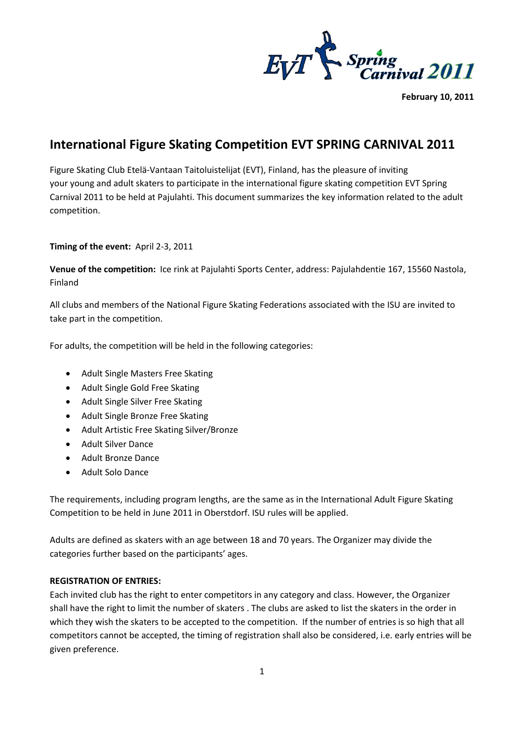

**February 10, 2011**

## **International Figure Skating Competition EVT SPRING CARNIVAL 2011**

Figure Skating Club Etelä-Vantaan Taitoluistelijat (EVT), Finland, has the pleasure of inviting your young and adult skaters to participate in the international figure skating competition EVT Spring Carnival 2011 to be held at Pajulahti. This document summarizes the key information related to the adult competition.

## **Timing of the event:** April 2-3, 2011

**Venue of the competition:** Ice rink at Pajulahti Sports Center, address: Pajulahdentie 167, 15560 Nastola, Finland

All clubs and members of the National Figure Skating Federations associated with the ISU are invited to take part in the competition.

For adults, the competition will be held in the following categories:

- Adult Single Masters Free Skating
- Adult Single Gold Free Skating
- Adult Single Silver Free Skating
- Adult Single Bronze Free Skating
- Adult Artistic Free Skating Silver/Bronze
- Adult Silver Dance
- Adult Bronze Dance
- Adult Solo Dance

The requirements, including program lengths, are the same as in the International Adult Figure Skating Competition to be held in June 2011 in Oberstdorf. ISU rules will be applied.

Adults are defined as skaters with an age between 18 and 70 years. The Organizer may divide the categories further based on the participants' ages.

## **REGISTRATION OF ENTRIES:**

Each invited club has the right to enter competitors in any category and class. However, the Organizer shall have the right to limit the number of skaters . The clubs are asked to list the skaters in the order in which they wish the skaters to be accepted to the competition. If the number of entries is so high that all competitors cannot be accepted, the timing of registration shall also be considered, i.e. early entries will be given preference.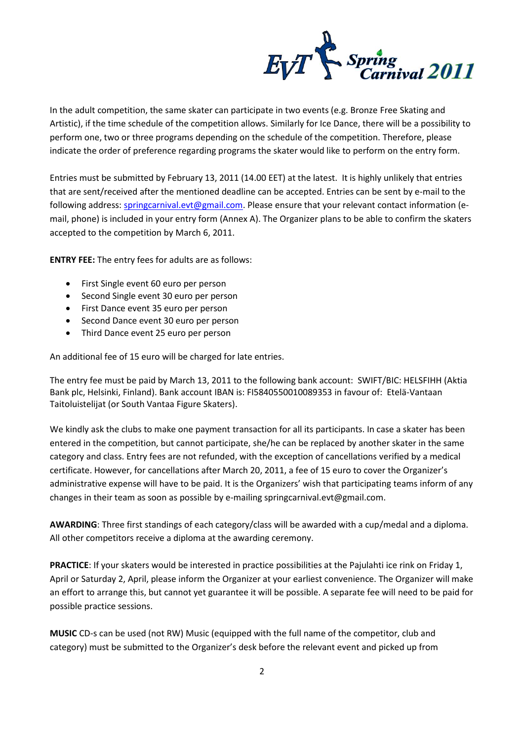

In the adult competition, the same skater can participate in two events (e.g. Bronze Free Skating and Artistic), if the time schedule of the competition allows. Similarly for Ice Dance, there will be a possibility to perform one, two or three programs depending on the schedule of the competition. Therefore, please indicate the order of preference regarding programs the skater would like to perform on the entry form.

Entries must be submitted by February 13, 2011 (14.00 EET) at the latest. It is highly unlikely that entries that are sent/received after the mentioned deadline can be accepted. Entries can be sent by e-mail to the following address[: springcarnival.evt@gmail.com.](mailto:springcarnival.evt@gmail.com) Please ensure that your relevant contact information (email, phone) is included in your entry form (Annex A). The Organizer plans to be able to confirm the skaters accepted to the competition by March 6, 2011.

**ENTRY FEE:** The entry fees for adults are as follows:

- First Single event 60 euro per person
- Second Single event 30 euro per person
- First Dance event 35 euro per person
- Second Dance event 30 euro per person
- Third Dance event 25 euro per person

An additional fee of 15 euro will be charged for late entries.

The entry fee must be paid by March 13, 2011 to the following bank account: SWIFT/BIC: HELSFIHH (Aktia Bank plc, Helsinki, Finland). Bank account IBAN is: FI5840550010089353 in favour of: Etelä-Vantaan Taitoluistelijat (or South Vantaa Figure Skaters).

We kindly ask the clubs to make one payment transaction for all its participants. In case a skater has been entered in the competition, but cannot participate, she/he can be replaced by another skater in the same category and class. Entry fees are not refunded, with the exception of cancellations verified by a medical certificate. However, for cancellations after March 20, 2011, a fee of 15 euro to cover the Organizer's administrative expense will have to be paid. It is the Organizers' wish that participating teams inform of any changes in their team as soon as possible by e-mailing springcarnival.evt@gmail.com.

**AWARDING**: Three first standings of each category/class will be awarded with a cup/medal and a diploma. All other competitors receive a diploma at the awarding ceremony.

**PRACTICE**: If your skaters would be interested in practice possibilities at the Pajulahti ice rink on Friday 1, April or Saturday 2, April, please inform the Organizer at your earliest convenience. The Organizer will make an effort to arrange this, but cannot yet guarantee it will be possible. A separate fee will need to be paid for possible practice sessions.

**MUSIC** CD-s can be used (not RW) Music (equipped with the full name of the competitor, club and category) must be submitted to the Organizer's desk before the relevant event and picked up from